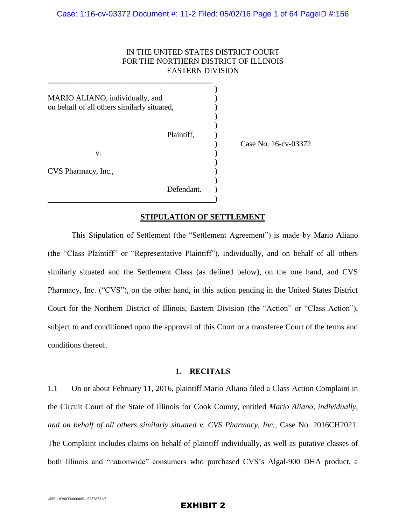# IN THE UNITED STATES DISTRICT COURT FOR THE NORTHERN DISTRICT OF ILLINOIS EASTERN DIVISION

MARIO ALIANO, individually, and ) on behalf of all others similarly situated,  $)$ 

**\_\_\_\_\_\_\_\_\_\_\_\_\_\_\_\_\_\_\_\_\_\_\_\_\_\_\_\_\_\_\_\_\_\_\_\_\_\_\_\_\_\_**

 $)$ 

 $)$ 

 $\mathbf v.$  )  $)$ 

Plaintiff. <sup>1</sup>

) Case No. 16-cv-03372

CVS Pharmacy, Inc.,

Defendant.  $\hspace{1.5cm}$  ) and the contract of  $\hspace{1.5cm}$ 

## **STIPULATION OF SETTLEMENT**

)

This Stipulation of Settlement (the "Settlement Agreement") is made by Mario Aliano (the "Class Plaintiff" or "Representative Plaintiff"), individually, and on behalf of all others similarly situated and the Settlement Class (as defined below), on the one hand, and CVS Pharmacy, Inc. ("CVS"), on the other hand, in this action pending in the United States District Court for the Northern District of Illinois, Eastern Division (the "Action" or "Class Action"), subject to and conditioned upon the approval of this Court or a transferee Court of the terms and conditions thereof.

## **1. RECITALS**

1.1 On or about February 11, 2016, plaintiff Mario Aliano filed a Class Action Complaint in the Circuit Court of the State of Illinois for Cook County, entitled *Mario Aliano, individually, and on behalf of all others similarly situated v. CVS Pharmacy, Inc.*, Case No. 2016CH2021. The Complaint includes claims on behalf of plaintiff individually, as well as putative classes of both Illinois and "nationwide" consumers who purchased CVS's Algal-900 DHA product, a

## EXHIBIT 2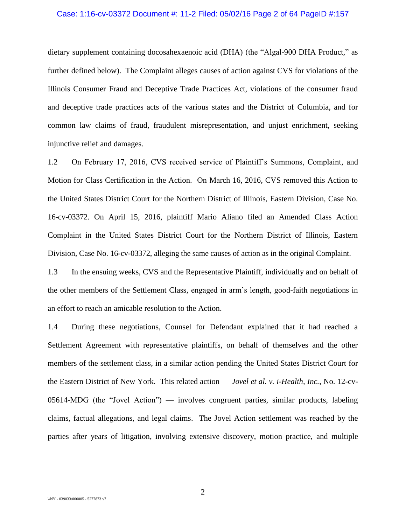#### Case: 1:16-cv-03372 Document #: 11-2 Filed: 05/02/16 Page 2 of 64 PageID #:157

dietary supplement containing docosahexaenoic acid (DHA) (the "Algal-900 DHA Product," as further defined below). The Complaint alleges causes of action against CVS for violations of the Illinois Consumer Fraud and Deceptive Trade Practices Act, violations of the consumer fraud and deceptive trade practices acts of the various states and the District of Columbia, and for common law claims of fraud, fraudulent misrepresentation, and unjust enrichment, seeking injunctive relief and damages.

1.2 On February 17, 2016, CVS received service of Plaintiff's Summons, Complaint, and Motion for Class Certification in the Action. On March 16, 2016, CVS removed this Action to the United States District Court for the Northern District of Illinois, Eastern Division, Case No. 16-cv-03372. On April 15, 2016, plaintiff Mario Aliano filed an Amended Class Action Complaint in the United States District Court for the Northern District of Illinois, Eastern Division, Case No. 16-cv-03372, alleging the same causes of action as in the original Complaint.

1.3 In the ensuing weeks, CVS and the Representative Plaintiff, individually and on behalf of the other members of the Settlement Class, engaged in arm's length, good-faith negotiations in an effort to reach an amicable resolution to the Action.

1.4 During these negotiations, Counsel for Defendant explained that it had reached a Settlement Agreement with representative plaintiffs, on behalf of themselves and the other members of the settlement class, in a similar action pending the United States District Court for the Eastern District of New York. This related action — *Jovel et al. v. i-Health, Inc.*, No. 12-cv-05614-MDG (the "Jovel Action") — involves congruent parties, similar products, labeling claims, factual allegations, and legal claims. The Jovel Action settlement was reached by the parties after years of litigation, involving extensive discovery, motion practice, and multiple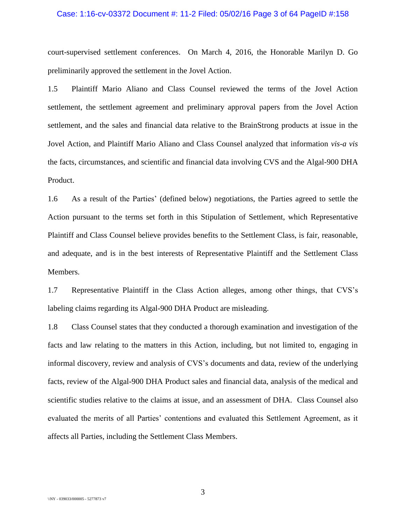#### Case: 1:16-cv-03372 Document #: 11-2 Filed: 05/02/16 Page 3 of 64 PageID #:158

court-supervised settlement conferences. On March 4, 2016, the Honorable Marilyn D. Go preliminarily approved the settlement in the Jovel Action.

1.5 Plaintiff Mario Aliano and Class Counsel reviewed the terms of the Jovel Action settlement, the settlement agreement and preliminary approval papers from the Jovel Action settlement, and the sales and financial data relative to the BrainStrong products at issue in the Jovel Action, and Plaintiff Mario Aliano and Class Counsel analyzed that information *vis-a vis* the facts, circumstances, and scientific and financial data involving CVS and the Algal-900 DHA Product.

1.6 As a result of the Parties' (defined below) negotiations, the Parties agreed to settle the Action pursuant to the terms set forth in this Stipulation of Settlement, which Representative Plaintiff and Class Counsel believe provides benefits to the Settlement Class, is fair, reasonable, and adequate, and is in the best interests of Representative Plaintiff and the Settlement Class Members.

1.7 Representative Plaintiff in the Class Action alleges, among other things, that CVS's labeling claims regarding its Algal-900 DHA Product are misleading.

1.8 Class Counsel states that they conducted a thorough examination and investigation of the facts and law relating to the matters in this Action, including, but not limited to, engaging in informal discovery, review and analysis of CVS's documents and data, review of the underlying facts, review of the Algal-900 DHA Product sales and financial data, analysis of the medical and scientific studies relative to the claims at issue, and an assessment of DHA. Class Counsel also evaluated the merits of all Parties' contentions and evaluated this Settlement Agreement, as it affects all Parties, including the Settlement Class Members.

3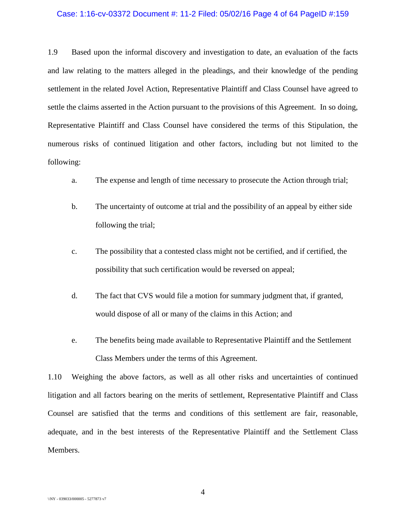#### Case: 1:16-cv-03372 Document #: 11-2 Filed: 05/02/16 Page 4 of 64 PageID #:159

1.9 Based upon the informal discovery and investigation to date, an evaluation of the facts and law relating to the matters alleged in the pleadings, and their knowledge of the pending settlement in the related Jovel Action, Representative Plaintiff and Class Counsel have agreed to settle the claims asserted in the Action pursuant to the provisions of this Agreement. In so doing, Representative Plaintiff and Class Counsel have considered the terms of this Stipulation, the numerous risks of continued litigation and other factors, including but not limited to the following:

- a. The expense and length of time necessary to prosecute the Action through trial;
- b. The uncertainty of outcome at trial and the possibility of an appeal by either side following the trial;
- c. The possibility that a contested class might not be certified, and if certified, the possibility that such certification would be reversed on appeal;
- d. The fact that CVS would file a motion for summary judgment that, if granted, would dispose of all or many of the claims in this Action; and
- e. The benefits being made available to Representative Plaintiff and the Settlement Class Members under the terms of this Agreement.

1.10 Weighing the above factors, as well as all other risks and uncertainties of continued litigation and all factors bearing on the merits of settlement, Representative Plaintiff and Class Counsel are satisfied that the terms and conditions of this settlement are fair, reasonable, adequate, and in the best interests of the Representative Plaintiff and the Settlement Class Members.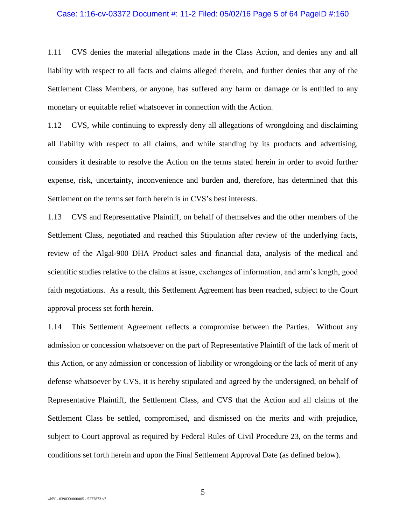#### Case: 1:16-cv-03372 Document #: 11-2 Filed: 05/02/16 Page 5 of 64 PageID #:160

1.11 CVS denies the material allegations made in the Class Action, and denies any and all liability with respect to all facts and claims alleged therein, and further denies that any of the Settlement Class Members, or anyone, has suffered any harm or damage or is entitled to any monetary or equitable relief whatsoever in connection with the Action.

1.12 CVS, while continuing to expressly deny all allegations of wrongdoing and disclaiming all liability with respect to all claims, and while standing by its products and advertising, considers it desirable to resolve the Action on the terms stated herein in order to avoid further expense, risk, uncertainty, inconvenience and burden and, therefore, has determined that this Settlement on the terms set forth herein is in CVS's best interests.

1.13 CVS and Representative Plaintiff, on behalf of themselves and the other members of the Settlement Class, negotiated and reached this Stipulation after review of the underlying facts, review of the Algal-900 DHA Product sales and financial data, analysis of the medical and scientific studies relative to the claims at issue, exchanges of information, and arm's length, good faith negotiations. As a result, this Settlement Agreement has been reached, subject to the Court approval process set forth herein.

1.14 This Settlement Agreement reflects a compromise between the Parties. Without any admission or concession whatsoever on the part of Representative Plaintiff of the lack of merit of this Action, or any admission or concession of liability or wrongdoing or the lack of merit of any defense whatsoever by CVS, it is hereby stipulated and agreed by the undersigned, on behalf of Representative Plaintiff, the Settlement Class, and CVS that the Action and all claims of the Settlement Class be settled, compromised, and dismissed on the merits and with prejudice, subject to Court approval as required by Federal Rules of Civil Procedure 23, on the terms and conditions set forth herein and upon the Final Settlement Approval Date (as defined below).

5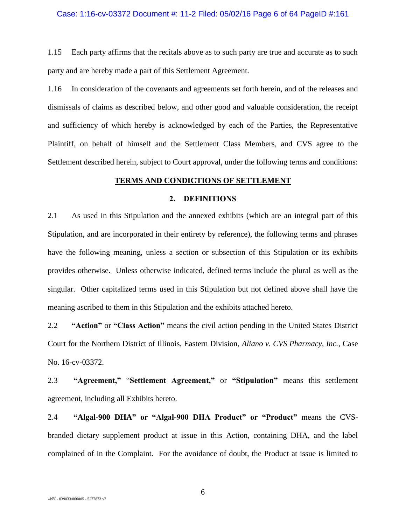### Case: 1:16-cv-03372 Document #: 11-2 Filed: 05/02/16 Page 6 of 64 PageID #:161

1.15 Each party affirms that the recitals above as to such party are true and accurate as to such party and are hereby made a part of this Settlement Agreement.

1.16 In consideration of the covenants and agreements set forth herein, and of the releases and dismissals of claims as described below, and other good and valuable consideration, the receipt and sufficiency of which hereby is acknowledged by each of the Parties, the Representative Plaintiff, on behalf of himself and the Settlement Class Members, and CVS agree to the Settlement described herein, subject to Court approval, under the following terms and conditions:

# **TERMS AND CONDICTIONS OF SETTLEMENT**

## **2. DEFINITIONS**

2.1 As used in this Stipulation and the annexed exhibits (which are an integral part of this Stipulation, and are incorporated in their entirety by reference), the following terms and phrases have the following meaning, unless a section or subsection of this Stipulation or its exhibits provides otherwise. Unless otherwise indicated, defined terms include the plural as well as the singular. Other capitalized terms used in this Stipulation but not defined above shall have the meaning ascribed to them in this Stipulation and the exhibits attached hereto.

2.2 **"Action"** or **"Class Action"** means the civil action pending in the United States District Court for the Northern District of Illinois, Eastern Division, *Aliano v. CVS Pharmacy, Inc.*, Case No. 16-cv-03372.

2.3 **"Agreement,"** "**Settlement Agreement,"** or **"Stipulation"** means this settlement agreement, including all Exhibits hereto.

2.4 **"Algal-900 DHA" or "Algal-900 DHA Product" or "Product"** means the CVSbranded dietary supplement product at issue in this Action, containing DHA, and the label complained of in the Complaint. For the avoidance of doubt, the Product at issue is limited to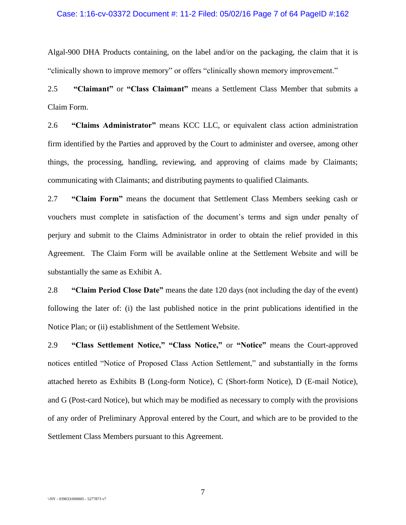#### Case: 1:16-cv-03372 Document #: 11-2 Filed: 05/02/16 Page 7 of 64 PageID #:162

Algal-900 DHA Products containing, on the label and/or on the packaging, the claim that it is "clinically shown to improve memory" or offers "clinically shown memory improvement."

2.5 **"Claimant"** or **"Class Claimant"** means a Settlement Class Member that submits a Claim Form.

2.6 **"Claims Administrator"** means KCC LLC, or equivalent class action administration firm identified by the Parties and approved by the Court to administer and oversee, among other things, the processing, handling, reviewing, and approving of claims made by Claimants; communicating with Claimants; and distributing payments to qualified Claimants.

2.7 **"Claim Form"** means the document that Settlement Class Members seeking cash or vouchers must complete in satisfaction of the document's terms and sign under penalty of perjury and submit to the Claims Administrator in order to obtain the relief provided in this Agreement. The Claim Form will be available online at the Settlement Website and will be substantially the same as Exhibit A.

2.8 **"Claim Period Close Date"** means the date 120 days (not including the day of the event) following the later of: (i) the last published notice in the print publications identified in the Notice Plan; or (ii) establishment of the Settlement Website.

2.9 **"Class Settlement Notice," "Class Notice,"** or **"Notice"** means the Court-approved notices entitled "Notice of Proposed Class Action Settlement," and substantially in the forms attached hereto as Exhibits B (Long-form Notice), C (Short-form Notice), D (E-mail Notice), and G (Post-card Notice), but which may be modified as necessary to comply with the provisions of any order of Preliminary Approval entered by the Court, and which are to be provided to the Settlement Class Members pursuant to this Agreement.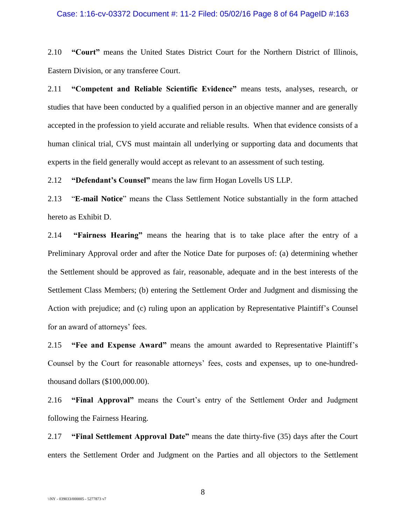#### Case: 1:16-cv-03372 Document #: 11-2 Filed: 05/02/16 Page 8 of 64 PageID #:163

2.10 **"Court"** means the United States District Court for the Northern District of Illinois, Eastern Division, or any transferee Court.

2.11 **"Competent and Reliable Scientific Evidence"** means tests, analyses, research, or studies that have been conducted by a qualified person in an objective manner and are generally accepted in the profession to yield accurate and reliable results. When that evidence consists of a human clinical trial, CVS must maintain all underlying or supporting data and documents that experts in the field generally would accept as relevant to an assessment of such testing.

2.12 **"Defendant's Counsel"** means the law firm Hogan Lovells US LLP.

2.13 "**E-mail Notice**" means the Class Settlement Notice substantially in the form attached hereto as Exhibit D.

2.14 **"Fairness Hearing"** means the hearing that is to take place after the entry of a Preliminary Approval order and after the Notice Date for purposes of: (a) determining whether the Settlement should be approved as fair, reasonable, adequate and in the best interests of the Settlement Class Members; (b) entering the Settlement Order and Judgment and dismissing the Action with prejudice; and (c) ruling upon an application by Representative Plaintiff's Counsel for an award of attorneys' fees.

2.15 **"Fee and Expense Award"** means the amount awarded to Representative Plaintiff's Counsel by the Court for reasonable attorneys' fees, costs and expenses, up to one-hundredthousand dollars (\$100,000.00).

2.16 **"Final Approval"** means the Court's entry of the Settlement Order and Judgment following the Fairness Hearing.

2.17 **"Final Settlement Approval Date"** means the date thirty-five (35) days after the Court enters the Settlement Order and Judgment on the Parties and all objectors to the Settlement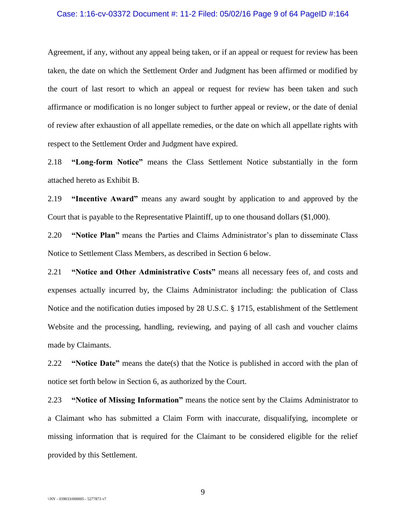#### Case: 1:16-cv-03372 Document #: 11-2 Filed: 05/02/16 Page 9 of 64 PageID #:164

Agreement, if any, without any appeal being taken, or if an appeal or request for review has been taken, the date on which the Settlement Order and Judgment has been affirmed or modified by the court of last resort to which an appeal or request for review has been taken and such affirmance or modification is no longer subject to further appeal or review, or the date of denial of review after exhaustion of all appellate remedies, or the date on which all appellate rights with respect to the Settlement Order and Judgment have expired.

2.18 **"Long-form Notice"** means the Class Settlement Notice substantially in the form attached hereto as Exhibit B.

2.19 **"Incentive Award"** means any award sought by application to and approved by the Court that is payable to the Representative Plaintiff, up to one thousand dollars (\$1,000).

2.20 **"Notice Plan"** means the Parties and Claims Administrator's plan to disseminate Class Notice to Settlement Class Members, as described in Section [6](#page-15-0) below.

2.21 **"Notice and Other Administrative Costs"** means all necessary fees of, and costs and expenses actually incurred by, the Claims Administrator including: the publication of Class Notice and the notification duties imposed by 28 U.S.C. § 1715, establishment of the Settlement Website and the processing, handling, reviewing, and paying of all cash and voucher claims made by Claimants.

2.22 **"Notice Date"** means the date(s) that the Notice is published in accord with the plan of notice set forth below in Section [6,](#page-15-0) as authorized by the Court.

2.23 **"Notice of Missing Information"** means the notice sent by the Claims Administrator to a Claimant who has submitted a Claim Form with inaccurate, disqualifying, incomplete or missing information that is required for the Claimant to be considered eligible for the relief provided by this Settlement.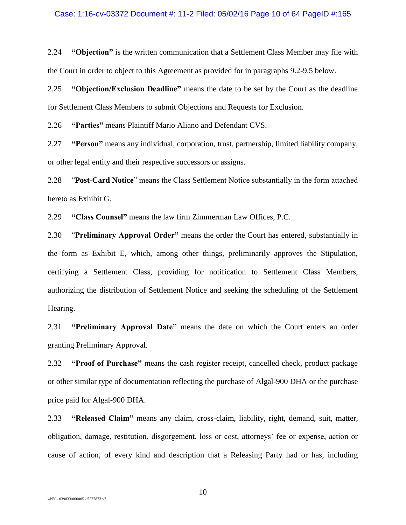2.24 **"Objection"** is the written communication that a Settlement Class Member may file with the Court in order to object to this Agreement as provided for in paragraphs [9.2](#page-23-0)[-9.5](#page-24-0) below.

2.25 **"Objection/Exclusion Deadline"** means the date to be set by the Court as the deadline for Settlement Class Members to submit Objections and Requests for Exclusion.

2.26 **"Parties"** means Plaintiff Mario Aliano and Defendant CVS.

2.27 **"Person"** means any individual, corporation, trust, partnership, limited liability company, or other legal entity and their respective successors or assigns.

2.28 "**Post-Card Notice**" means the Class Settlement Notice substantially in the form attached hereto as Exhibit G.

2.29 **"Class Counsel"** means the law firm Zimmerman Law Offices, P.C.

2.30 "**Preliminary Approval Order"** means the order the Court has entered, substantially in the form as Exhibit E, which, among other things, preliminarily approves the Stipulation, certifying a Settlement Class, providing for notification to Settlement Class Members, authorizing the distribution of Settlement Notice and seeking the scheduling of the Settlement Hearing.

2.31 **"Preliminary Approval Date"** means the date on which the Court enters an order granting Preliminary Approval.

2.32 **"Proof of Purchase"** means the cash register receipt, cancelled check, product package or other similar type of documentation reflecting the purchase of Algal-900 DHA or the purchase price paid for Algal-900 DHA.

2.33 **"Released Claim"** means any claim, cross-claim, liability, right, demand, suit, matter, obligation, damage, restitution, disgorgement, loss or cost, attorneys' fee or expense, action or cause of action, of every kind and description that a Releasing Party had or has, including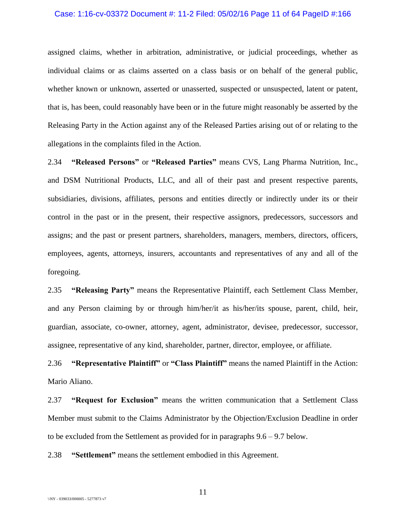#### Case: 1:16-cv-03372 Document #: 11-2 Filed: 05/02/16 Page 11 of 64 PageID #:166

assigned claims, whether in arbitration, administrative, or judicial proceedings, whether as individual claims or as claims asserted on a class basis or on behalf of the general public, whether known or unknown, asserted or unasserted, suspected or unsuspected, latent or patent, that is, has been, could reasonably have been or in the future might reasonably be asserted by the Releasing Party in the Action against any of the Released Parties arising out of or relating to the allegations in the complaints filed in the Action.

2.34 **"Released Persons"** or **"Released Parties"** means CVS, Lang Pharma Nutrition, Inc., and DSM Nutritional Products, LLC, and all of their past and present respective parents, subsidiaries, divisions, affiliates, persons and entities directly or indirectly under its or their control in the past or in the present, their respective assignors, predecessors, successors and assigns; and the past or present partners, shareholders, managers, members, directors, officers, employees, agents, attorneys, insurers, accountants and representatives of any and all of the foregoing.

2.35 **"Releasing Party"** means the Representative Plaintiff, each Settlement Class Member, and any Person claiming by or through him/her/it as his/her/its spouse, parent, child, heir, guardian, associate, co-owner, attorney, agent, administrator, devisee, predecessor, successor, assignee, representative of any kind, shareholder, partner, director, employee, or affiliate.

2.36 **"Representative Plaintiff"** or **"Class Plaintiff"** means the named Plaintiff in the Action: Mario Aliano.

2.37 **"Request for Exclusion"** means the written communication that a Settlement Class Member must submit to the Claims Administrator by the Objection/Exclusion Deadline in order to be excluded from the Settlement as provided for in paragraphs  $9.6 - 9.7$  $9.6 - 9.7$  below.

2.38 **"Settlement"** means the settlement embodied in this Agreement.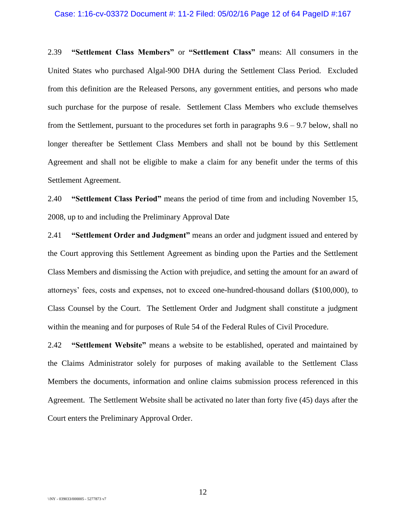#### Case: 1:16-cv-03372 Document #: 11-2 Filed: 05/02/16 Page 12 of 64 PageID #:167

2.39 **"Settlement Class Members"** or **"Settlement Class"** means: All consumers in the United States who purchased Algal-900 DHA during the Settlement Class Period. Excluded from this definition are the Released Persons, any government entities, and persons who made such purchase for the purpose of resale. Settlement Class Members who exclude themselves from the Settlement, pursuant to the procedures set forth in paragraphs [9.6](#page-24-1) – [9.7](#page-25-0) below, shall no longer thereafter be Settlement Class Members and shall not be bound by this Settlement Agreement and shall not be eligible to make a claim for any benefit under the terms of this Settlement Agreement.

2.40 **"Settlement Class Period"** means the period of time from and including November 15, 2008, up to and including the Preliminary Approval Date

2.41 **"Settlement Order and Judgment"** means an order and judgment issued and entered by the Court approving this Settlement Agreement as binding upon the Parties and the Settlement Class Members and dismissing the Action with prejudice, and setting the amount for an award of attorneys' fees, costs and expenses, not to exceed one-hundred-thousand dollars (\$100,000), to Class Counsel by the Court. The Settlement Order and Judgment shall constitute a judgment within the meaning and for purposes of Rule 54 of the Federal Rules of Civil Procedure.

2.42 **"Settlement Website"** means a website to be established, operated and maintained by the Claims Administrator solely for purposes of making available to the Settlement Class Members the documents, information and online claims submission process referenced in this Agreement. The Settlement Website shall be activated no later than forty five (45) days after the Court enters the Preliminary Approval Order.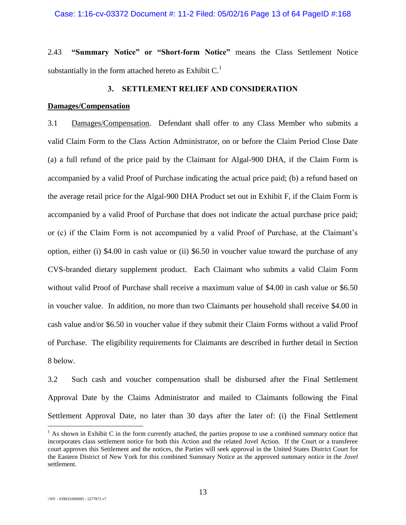### Case: 1:16-cv-03372 Document #: 11-2 Filed: 05/02/16 Page 13 of 64 PageID #:168

2.43 **"Summary Notice" or "Short-form Notice"** means the Class Settlement Notice substantially in the form attached hereto as Exhibit  $C<sup>1</sup>$ 

## **3. SETTLEMENT RELIEF AND CONSIDERATION**

# **Damages/Compensation**

3.1 Damages/Compensation. Defendant shall offer to any Class Member who submits a valid Claim Form to the Class Action Administrator, on or before the Claim Period Close Date (a) a full refund of the price paid by the Claimant for Algal-900 DHA, if the Claim Form is accompanied by a valid Proof of Purchase indicating the actual price paid; (b) a refund based on the average retail price for the Algal-900 DHA Product set out in Exhibit F, if the Claim Form is accompanied by a valid Proof of Purchase that does not indicate the actual purchase price paid; or (c) if the Claim Form is not accompanied by a valid Proof of Purchase, at the Claimant's option, either (i) \$4.00 in cash value or (ii) \$6.50 in voucher value toward the purchase of any CVS-branded dietary supplement product. Each Claimant who submits a valid Claim Form without valid Proof of Purchase shall receive a maximum value of \$4.00 in cash value or \$6.50 in voucher value. In addition, no more than two Claimants per household shall receive \$4.00 in cash value and/or \$6.50 in voucher value if they submit their Claim Forms without a valid Proof of Purchase. The eligibility requirements for Claimants are described in further detail in Section [8](#page-20-0) below.

3.2 Such cash and voucher compensation shall be disbursed after the Final Settlement Approval Date by the Claims Administrator and mailed to Claimants following the Final Settlement Approval Date, no later than 30 days after the later of: (i) the Final Settlement

 $\overline{a}$ 

 $<sup>1</sup>$  As shown in Exhibit C in the form currently attached, the parties propose to use a combined summary notice that</sup> incorporates class settlement notice for both this Action and the related Jovel Action. If the Court or a transferee court approves this Settlement and the notices, the Parties will seek approval in the United States District Court for the Eastern District of New York for this combined Summary Notice as the approved summary notice in the *Jovel*  settlement.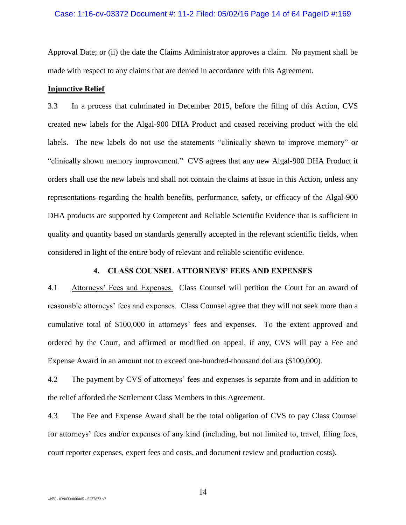## Case: 1:16-cv-03372 Document #: 11-2 Filed: 05/02/16 Page 14 of 64 PageID #:169

Approval Date; or (ii) the date the Claims Administrator approves a claim. No payment shall be made with respect to any claims that are denied in accordance with this Agreement.

# **Injunctive Relief**

3.3 In a process that culminated in December 2015, before the filing of this Action, CVS created new labels for the Algal-900 DHA Product and ceased receiving product with the old labels. The new labels do not use the statements "clinically shown to improve memory" or "clinically shown memory improvement." CVS agrees that any new Algal-900 DHA Product it orders shall use the new labels and shall not contain the claims at issue in this Action, unless any representations regarding the health benefits, performance, safety, or efficacy of the Algal-900 DHA products are supported by Competent and Reliable Scientific Evidence that is sufficient in quality and quantity based on standards generally accepted in the relevant scientific fields, when considered in light of the entire body of relevant and reliable scientific evidence.

# **4. CLASS COUNSEL ATTORNEYS' FEES AND EXPENSES**

4.1 Attorneys' Fees and Expenses. Class Counsel will petition the Court for an award of reasonable attorneys' fees and expenses. Class Counsel agree that they will not seek more than a cumulative total of \$100,000 in attorneys' fees and expenses. To the extent approved and ordered by the Court, and affirmed or modified on appeal, if any, CVS will pay a Fee and Expense Award in an amount not to exceed one-hundred-thousand dollars (\$100,000).

4.2 The payment by CVS of attorneys' fees and expenses is separate from and in addition to the relief afforded the Settlement Class Members in this Agreement.

4.3 The Fee and Expense Award shall be the total obligation of CVS to pay Class Counsel for attorneys' fees and/or expenses of any kind (including, but not limited to, travel, filing fees, court reporter expenses, expert fees and costs, and document review and production costs).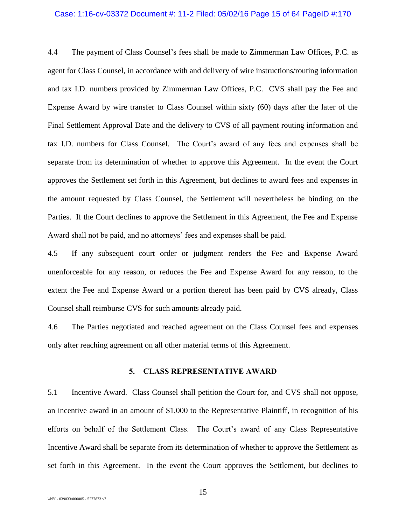#### Case: 1:16-cv-03372 Document #: 11-2 Filed: 05/02/16 Page 15 of 64 PageID #:170

4.4 The payment of Class Counsel's fees shall be made to Zimmerman Law Offices, P.C. as agent for Class Counsel, in accordance with and delivery of wire instructions/routing information and tax I.D. numbers provided by Zimmerman Law Offices, P.C. CVS shall pay the Fee and Expense Award by wire transfer to Class Counsel within sixty (60) days after the later of the Final Settlement Approval Date and the delivery to CVS of all payment routing information and tax I.D. numbers for Class Counsel. The Court's award of any fees and expenses shall be separate from its determination of whether to approve this Agreement. In the event the Court approves the Settlement set forth in this Agreement, but declines to award fees and expenses in the amount requested by Class Counsel, the Settlement will nevertheless be binding on the Parties. If the Court declines to approve the Settlement in this Agreement, the Fee and Expense Award shall not be paid, and no attorneys' fees and expenses shall be paid.

4.5 If any subsequent court order or judgment renders the Fee and Expense Award unenforceable for any reason, or reduces the Fee and Expense Award for any reason, to the extent the Fee and Expense Award or a portion thereof has been paid by CVS already, Class Counsel shall reimburse CVS for such amounts already paid.

4.6 The Parties negotiated and reached agreement on the Class Counsel fees and expenses only after reaching agreement on all other material terms of this Agreement.

## **5. CLASS REPRESENTATIVE AWARD**

5.1 Incentive Award. Class Counsel shall petition the Court for, and CVS shall not oppose, an incentive award in an amount of \$1,000 to the Representative Plaintiff, in recognition of his efforts on behalf of the Settlement Class. The Court's award of any Class Representative Incentive Award shall be separate from its determination of whether to approve the Settlement as set forth in this Agreement. In the event the Court approves the Settlement, but declines to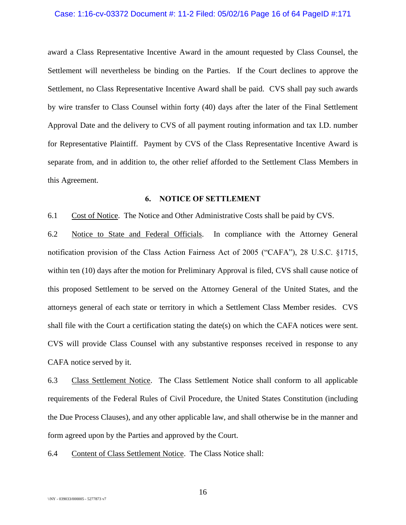#### Case: 1:16-cv-03372 Document #: 11-2 Filed: 05/02/16 Page 16 of 64 PageID #:171

award a Class Representative Incentive Award in the amount requested by Class Counsel, the Settlement will nevertheless be binding on the Parties. If the Court declines to approve the Settlement, no Class Representative Incentive Award shall be paid. CVS shall pay such awards by wire transfer to Class Counsel within forty (40) days after the later of the Final Settlement Approval Date and the delivery to CVS of all payment routing information and tax I.D. number for Representative Plaintiff. Payment by CVS of the Class Representative Incentive Award is separate from, and in addition to, the other relief afforded to the Settlement Class Members in this Agreement.

# **6. NOTICE OF SETTLEMENT**

<span id="page-15-0"></span>6.1 Cost of Notice. The Notice and Other Administrative Costs shall be paid by CVS.

6.2 Notice to State and Federal Officials. In compliance with the Attorney General notification provision of the Class Action Fairness Act of 2005 ("CAFA"), 28 U.S.C. §1715, within ten (10) days after the motion for Preliminary Approval is filed, CVS shall cause notice of this proposed Settlement to be served on the Attorney General of the United States, and the attorneys general of each state or territory in which a Settlement Class Member resides. CVS shall file with the Court a certification stating the date(s) on which the CAFA notices were sent. CVS will provide Class Counsel with any substantive responses received in response to any CAFA notice served by it.

6.3 Class Settlement Notice. The Class Settlement Notice shall conform to all applicable requirements of the Federal Rules of Civil Procedure, the United States Constitution (including the Due Process Clauses), and any other applicable law, and shall otherwise be in the manner and form agreed upon by the Parties and approved by the Court.

6.4 Content of Class Settlement Notice. The Class Notice shall: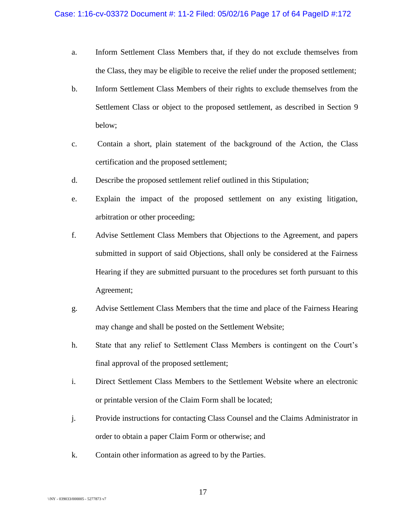- a. Inform Settlement Class Members that, if they do not exclude themselves from the Class, they may be eligible to receive the relief under the proposed settlement;
- b. Inform Settlement Class Members of their rights to exclude themselves from the Settlement Class or object to the proposed settlement, as described in Section [9](#page-23-1) below;
- c. Contain a short, plain statement of the background of the Action, the Class certification and the proposed settlement;
- d. Describe the proposed settlement relief outlined in this Stipulation;
- e. Explain the impact of the proposed settlement on any existing litigation, arbitration or other proceeding;
- f. Advise Settlement Class Members that Objections to the Agreement, and papers submitted in support of said Objections, shall only be considered at the Fairness Hearing if they are submitted pursuant to the procedures set forth pursuant to this Agreement;
- g. Advise Settlement Class Members that the time and place of the Fairness Hearing may change and shall be posted on the Settlement Website;
- h. State that any relief to Settlement Class Members is contingent on the Court's final approval of the proposed settlement;
- i. Direct Settlement Class Members to the Settlement Website where an electronic or printable version of the Claim Form shall be located;
- j. Provide instructions for contacting Class Counsel and the Claims Administrator in order to obtain a paper Claim Form or otherwise; and
- k. Contain other information as agreed to by the Parties.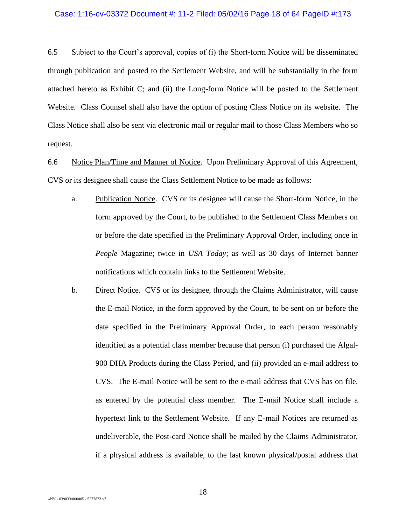#### Case: 1:16-cv-03372 Document #: 11-2 Filed: 05/02/16 Page 18 of 64 PageID #:173

6.5 Subject to the Court's approval, copies of (i) the Short-form Notice will be disseminated through publication and posted to the Settlement Website, and will be substantially in the form attached hereto as Exhibit C; and (ii) the Long-form Notice will be posted to the Settlement Website. Class Counsel shall also have the option of posting Class Notice on its website. The Class Notice shall also be sent via electronic mail or regular mail to those Class Members who so request.

6.6 Notice Plan/Time and Manner of Notice. Upon Preliminary Approval of this Agreement, CVS or its designee shall cause the Class Settlement Notice to be made as follows:

- a. Publication Notice. CVS or its designee will cause the Short-form Notice, in the form approved by the Court, to be published to the Settlement Class Members on or before the date specified in the Preliminary Approval Order, including once in *People* Magazine; twice in *USA Today*; as well as 30 days of Internet banner notifications which contain links to the Settlement Website.
- b. Direct Notice. CVS or its designee, through the Claims Administrator, will cause the E-mail Notice, in the form approved by the Court, to be sent on or before the date specified in the Preliminary Approval Order, to each person reasonably identified as a potential class member because that person (i) purchased the Algal-900 DHA Products during the Class Period, and (ii) provided an e-mail address to CVS. The E-mail Notice will be sent to the e-mail address that CVS has on file, as entered by the potential class member. The E-mail Notice shall include a hypertext link to the Settlement Website. If any E-mail Notices are returned as undeliverable, the Post-card Notice shall be mailed by the Claims Administrator, if a physical address is available, to the last known physical/postal address that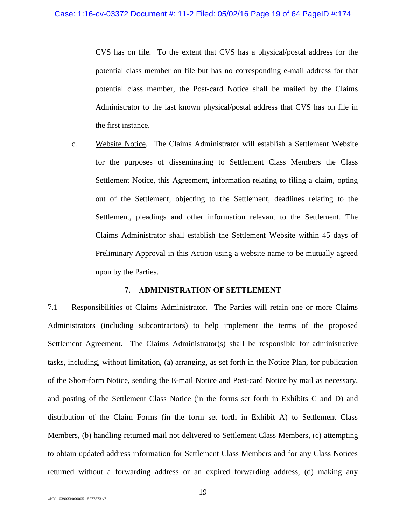CVS has on file. To the extent that CVS has a physical/postal address for the potential class member on file but has no corresponding e-mail address for that potential class member, the Post-card Notice shall be mailed by the Claims Administrator to the last known physical/postal address that CVS has on file in the first instance.

c. Website Notice. The Claims Administrator will establish a Settlement Website for the purposes of disseminating to Settlement Class Members the Class Settlement Notice, this Agreement, information relating to filing a claim, opting out of the Settlement, objecting to the Settlement, deadlines relating to the Settlement, pleadings and other information relevant to the Settlement. The Claims Administrator shall establish the Settlement Website within 45 days of Preliminary Approval in this Action using a website name to be mutually agreed upon by the Parties.

## **7. ADMINISTRATION OF SETTLEMENT**

7.1 Responsibilities of Claims Administrator. The Parties will retain one or more Claims Administrators (including subcontractors) to help implement the terms of the proposed Settlement Agreement. The Claims Administrator(s) shall be responsible for administrative tasks, including, without limitation, (a) arranging, as set forth in the Notice Plan, for publication of the Short-form Notice, sending the E-mail Notice and Post-card Notice by mail as necessary, and posting of the Settlement Class Notice (in the forms set forth in Exhibits C and D) and distribution of the Claim Forms (in the form set forth in Exhibit A) to Settlement Class Members, (b) handling returned mail not delivered to Settlement Class Members, (c) attempting to obtain updated address information for Settlement Class Members and for any Class Notices returned without a forwarding address or an expired forwarding address, (d) making any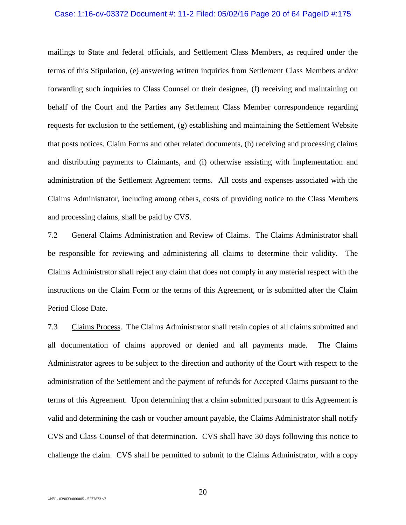#### Case: 1:16-cv-03372 Document #: 11-2 Filed: 05/02/16 Page 20 of 64 PageID #:175

mailings to State and federal officials, and Settlement Class Members, as required under the terms of this Stipulation, (e) answering written inquiries from Settlement Class Members and/or forwarding such inquiries to Class Counsel or their designee, (f) receiving and maintaining on behalf of the Court and the Parties any Settlement Class Member correspondence regarding requests for exclusion to the settlement, (g) establishing and maintaining the Settlement Website that posts notices, Claim Forms and other related documents, (h) receiving and processing claims and distributing payments to Claimants, and (i) otherwise assisting with implementation and administration of the Settlement Agreement terms. All costs and expenses associated with the Claims Administrator, including among others, costs of providing notice to the Class Members and processing claims, shall be paid by CVS.

7.2 General Claims Administration and Review of Claims. The Claims Administrator shall be responsible for reviewing and administering all claims to determine their validity. The Claims Administrator shall reject any claim that does not comply in any material respect with the instructions on the Claim Form or the terms of this Agreement, or is submitted after the Claim Period Close Date.

7.3 Claims Process. The Claims Administrator shall retain copies of all claims submitted and all documentation of claims approved or denied and all payments made. The Claims Administrator agrees to be subject to the direction and authority of the Court with respect to the administration of the Settlement and the payment of refunds for Accepted Claims pursuant to the terms of this Agreement. Upon determining that a claim submitted pursuant to this Agreement is valid and determining the cash or voucher amount payable, the Claims Administrator shall notify CVS and Class Counsel of that determination. CVS shall have 30 days following this notice to challenge the claim. CVS shall be permitted to submit to the Claims Administrator, with a copy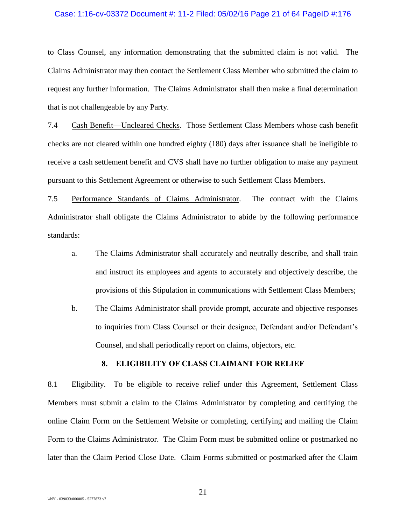#### Case: 1:16-cv-03372 Document #: 11-2 Filed: 05/02/16 Page 21 of 64 PageID #:176

to Class Counsel, any information demonstrating that the submitted claim is not valid. The Claims Administrator may then contact the Settlement Class Member who submitted the claim to request any further information. The Claims Administrator shall then make a final determination that is not challengeable by any Party.

7.4 Cash Benefit—Uncleared Checks. Those Settlement Class Members whose cash benefit checks are not cleared within one hundred eighty (180) days after issuance shall be ineligible to receive a cash settlement benefit and CVS shall have no further obligation to make any payment pursuant to this Settlement Agreement or otherwise to such Settlement Class Members.

7.5 Performance Standards of Claims Administrator. The contract with the Claims Administrator shall obligate the Claims Administrator to abide by the following performance standards:

- a. The Claims Administrator shall accurately and neutrally describe, and shall train and instruct its employees and agents to accurately and objectively describe, the provisions of this Stipulation in communications with Settlement Class Members;
- b. The Claims Administrator shall provide prompt, accurate and objective responses to inquiries from Class Counsel or their designee, Defendant and/or Defendant's Counsel, and shall periodically report on claims, objectors, etc.

# <span id="page-20-0"></span>**8. ELIGIBILITY OF CLASS CLAIMANT FOR RELIEF**

8.1 Eligibility. To be eligible to receive relief under this Agreement, Settlement Class Members must submit a claim to the Claims Administrator by completing and certifying the online Claim Form on the Settlement Website or completing, certifying and mailing the Claim Form to the Claims Administrator. The Claim Form must be submitted online or postmarked no later than the Claim Period Close Date. Claim Forms submitted or postmarked after the Claim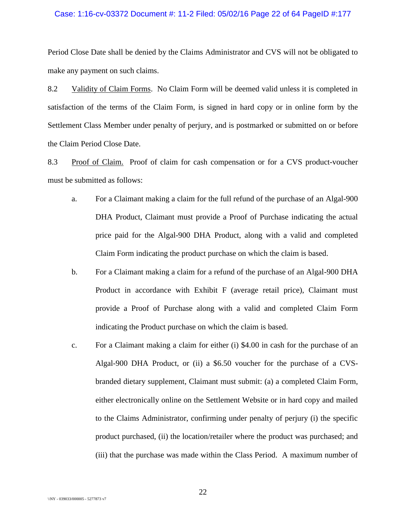#### Case: 1:16-cv-03372 Document #: 11-2 Filed: 05/02/16 Page 22 of 64 PageID #:177

Period Close Date shall be denied by the Claims Administrator and CVS will not be obligated to make any payment on such claims.

8.2 Validity of Claim Forms. No Claim Form will be deemed valid unless it is completed in satisfaction of the terms of the Claim Form, is signed in hard copy or in online form by the Settlement Class Member under penalty of perjury, and is postmarked or submitted on or before the Claim Period Close Date.

8.3 Proof of Claim. Proof of claim for cash compensation or for a CVS product-voucher must be submitted as follows:

- a. For a Claimant making a claim for the full refund of the purchase of an Algal-900 DHA Product, Claimant must provide a Proof of Purchase indicating the actual price paid for the Algal-900 DHA Product, along with a valid and completed Claim Form indicating the product purchase on which the claim is based.
- b. For a Claimant making a claim for a refund of the purchase of an Algal-900 DHA Product in accordance with Exhibit F (average retail price), Claimant must provide a Proof of Purchase along with a valid and completed Claim Form indicating the Product purchase on which the claim is based.
- c. For a Claimant making a claim for either (i) \$4.00 in cash for the purchase of an Algal-900 DHA Product, or (ii) a \$6.50 voucher for the purchase of a CVSbranded dietary supplement, Claimant must submit: (a) a completed Claim Form, either electronically online on the Settlement Website or in hard copy and mailed to the Claims Administrator, confirming under penalty of perjury (i) the specific product purchased, (ii) the location/retailer where the product was purchased; and (iii) that the purchase was made within the Class Period. A maximum number of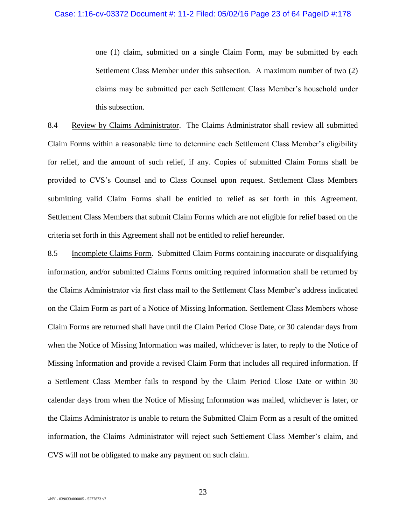one (1) claim, submitted on a single Claim Form, may be submitted by each Settlement Class Member under this subsection. A maximum number of two (2) claims may be submitted per each Settlement Class Member's household under this subsection.

8.4 Review by Claims Administrator. The Claims Administrator shall review all submitted Claim Forms within a reasonable time to determine each Settlement Class Member's eligibility for relief, and the amount of such relief, if any. Copies of submitted Claim Forms shall be provided to CVS's Counsel and to Class Counsel upon request. Settlement Class Members submitting valid Claim Forms shall be entitled to relief as set forth in this Agreement. Settlement Class Members that submit Claim Forms which are not eligible for relief based on the criteria set forth in this Agreement shall not be entitled to relief hereunder.

8.5 Incomplete Claims Form. Submitted Claim Forms containing inaccurate or disqualifying information, and/or submitted Claims Forms omitting required information shall be returned by the Claims Administrator via first class mail to the Settlement Class Member's address indicated on the Claim Form as part of a Notice of Missing Information. Settlement Class Members whose Claim Forms are returned shall have until the Claim Period Close Date, or 30 calendar days from when the Notice of Missing Information was mailed, whichever is later, to reply to the Notice of Missing Information and provide a revised Claim Form that includes all required information. If a Settlement Class Member fails to respond by the Claim Period Close Date or within 30 calendar days from when the Notice of Missing Information was mailed, whichever is later, or the Claims Administrator is unable to return the Submitted Claim Form as a result of the omitted information, the Claims Administrator will reject such Settlement Class Member's claim, and CVS will not be obligated to make any payment on such claim.

23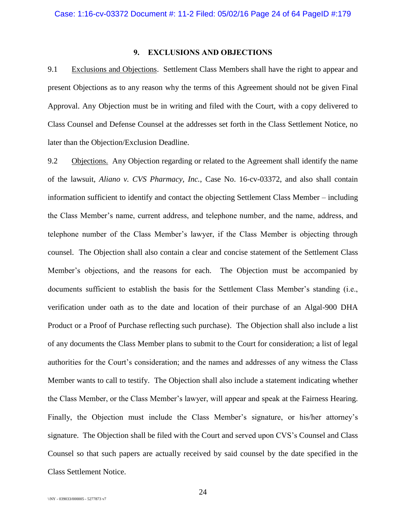# **9. EXCLUSIONS AND OBJECTIONS**

<span id="page-23-1"></span>9.1 Exclusions and Objections. Settlement Class Members shall have the right to appear and present Objections as to any reason why the terms of this Agreement should not be given Final Approval. Any Objection must be in writing and filed with the Court, with a copy delivered to Class Counsel and Defense Counsel at the addresses set forth in the Class Settlement Notice, no later than the Objection/Exclusion Deadline.

<span id="page-23-0"></span>9.2 Objections. Any Objection regarding or related to the Agreement shall identify the name of the lawsuit, *Aliano v. CVS Pharmacy, Inc.*, Case No. 16-cv-03372, and also shall contain information sufficient to identify and contact the objecting Settlement Class Member – including the Class Member's name, current address, and telephone number, and the name, address, and telephone number of the Class Member's lawyer, if the Class Member is objecting through counsel. The Objection shall also contain a clear and concise statement of the Settlement Class Member's objections, and the reasons for each. The Objection must be accompanied by documents sufficient to establish the basis for the Settlement Class Member's standing (i.e., verification under oath as to the date and location of their purchase of an Algal-900 DHA Product or a Proof of Purchase reflecting such purchase). The Objection shall also include a list of any documents the Class Member plans to submit to the Court for consideration; a list of legal authorities for the Court's consideration; and the names and addresses of any witness the Class Member wants to call to testify. The Objection shall also include a statement indicating whether the Class Member, or the Class Member's lawyer, will appear and speak at the Fairness Hearing. Finally, the Objection must include the Class Member's signature, or his/her attorney's signature. The Objection shall be filed with the Court and served upon CVS's Counsel and Class Counsel so that such papers are actually received by said counsel by the date specified in the Class Settlement Notice.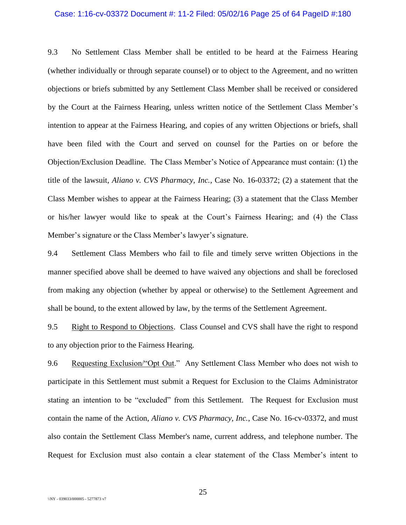#### Case: 1:16-cv-03372 Document #: 11-2 Filed: 05/02/16 Page 25 of 64 PageID #:180

9.3 No Settlement Class Member shall be entitled to be heard at the Fairness Hearing (whether individually or through separate counsel) or to object to the Agreement, and no written objections or briefs submitted by any Settlement Class Member shall be received or considered by the Court at the Fairness Hearing, unless written notice of the Settlement Class Member's intention to appear at the Fairness Hearing, and copies of any written Objections or briefs, shall have been filed with the Court and served on counsel for the Parties on or before the Objection/Exclusion Deadline. The Class Member's Notice of Appearance must contain: (1) the title of the lawsuit, *Aliano v. CVS Pharmacy, Inc.*, Case No. 16-03372; (2) a statement that the Class Member wishes to appear at the Fairness Hearing; (3) a statement that the Class Member or his/her lawyer would like to speak at the Court's Fairness Hearing; and (4) the Class Member's signature or the Class Member's lawyer's signature.

9.4 Settlement Class Members who fail to file and timely serve written Objections in the manner specified above shall be deemed to have waived any objections and shall be foreclosed from making any objection (whether by appeal or otherwise) to the Settlement Agreement and shall be bound, to the extent allowed by law, by the terms of the Settlement Agreement.

<span id="page-24-0"></span>9.5 Right to Respond to Objections. Class Counsel and CVS shall have the right to respond to any objection prior to the Fairness Hearing.

<span id="page-24-1"></span>9.6 Requesting Exclusion/"Opt Out." Any Settlement Class Member who does not wish to participate in this Settlement must submit a Request for Exclusion to the Claims Administrator stating an intention to be "excluded" from this Settlement. The Request for Exclusion must contain the name of the Action, *Aliano v. CVS Pharmacy, Inc.*, Case No. 16-cv-03372, and must also contain the Settlement Class Member's name, current address, and telephone number. The Request for Exclusion must also contain a clear statement of the Class Member's intent to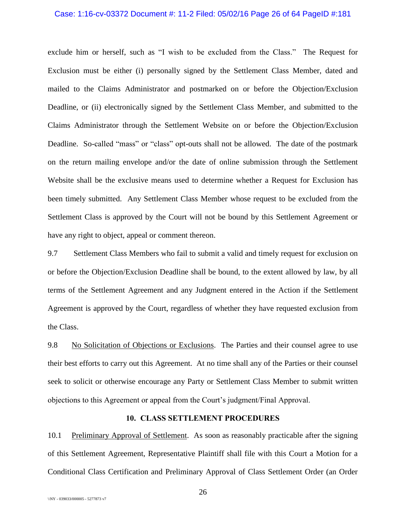#### Case: 1:16-cv-03372 Document #: 11-2 Filed: 05/02/16 Page 26 of 64 PageID #:181

exclude him or herself, such as "I wish to be excluded from the Class." The Request for Exclusion must be either (i) personally signed by the Settlement Class Member, dated and mailed to the Claims Administrator and postmarked on or before the Objection/Exclusion Deadline, or (ii) electronically signed by the Settlement Class Member, and submitted to the Claims Administrator through the Settlement Website on or before the Objection/Exclusion Deadline. So-called "mass" or "class" opt-outs shall not be allowed. The date of the postmark on the return mailing envelope and/or the date of online submission through the Settlement Website shall be the exclusive means used to determine whether a Request for Exclusion has been timely submitted. Any Settlement Class Member whose request to be excluded from the Settlement Class is approved by the Court will not be bound by this Settlement Agreement or have any right to object, appeal or comment thereon.

<span id="page-25-0"></span>9.7 Settlement Class Members who fail to submit a valid and timely request for exclusion on or before the Objection/Exclusion Deadline shall be bound, to the extent allowed by law, by all terms of the Settlement Agreement and any Judgment entered in the Action if the Settlement Agreement is approved by the Court, regardless of whether they have requested exclusion from the Class.

9.8 No Solicitation of Objections or Exclusions. The Parties and their counsel agree to use their best efforts to carry out this Agreement. At no time shall any of the Parties or their counsel seek to solicit or otherwise encourage any Party or Settlement Class Member to submit written objections to this Agreement or appeal from the Court's judgment/Final Approval.

## **10. CLASS SETTLEMENT PROCEDURES**

10.1 Preliminary Approval of Settlement. As soon as reasonably practicable after the signing of this Settlement Agreement, Representative Plaintiff shall file with this Court a Motion for a Conditional Class Certification and Preliminary Approval of Class Settlement Order (an Order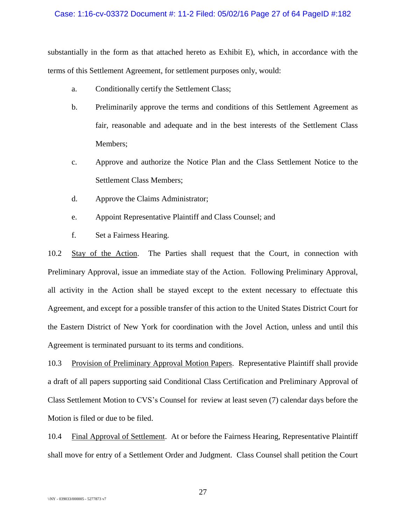## Case: 1:16-cv-03372 Document #: 11-2 Filed: 05/02/16 Page 27 of 64 PageID #:182

substantially in the form as that attached hereto as Exhibit E), which, in accordance with the terms of this Settlement Agreement, for settlement purposes only, would:

- a. Conditionally certify the Settlement Class;
- b. Preliminarily approve the terms and conditions of this Settlement Agreement as fair, reasonable and adequate and in the best interests of the Settlement Class Members;
- c. Approve and authorize the Notice Plan and the Class Settlement Notice to the Settlement Class Members;
- d. Approve the Claims Administrator;
- e. Appoint Representative Plaintiff and Class Counsel; and
- f. Set a Fairness Hearing.

10.2 Stay of the Action. The Parties shall request that the Court, in connection with Preliminary Approval, issue an immediate stay of the Action. Following Preliminary Approval, all activity in the Action shall be stayed except to the extent necessary to effectuate this Agreement, and except for a possible transfer of this action to the United States District Court for the Eastern District of New York for coordination with the Jovel Action, unless and until this Agreement is terminated pursuant to its terms and conditions.

10.3 Provision of Preliminary Approval Motion Papers. Representative Plaintiff shall provide a draft of all papers supporting said Conditional Class Certification and Preliminary Approval of Class Settlement Motion to CVS's Counsel for review at least seven (7) calendar days before the Motion is filed or due to be filed.

10.4 Final Approval of Settlement. At or before the Fairness Hearing, Representative Plaintiff shall move for entry of a Settlement Order and Judgment. Class Counsel shall petition the Court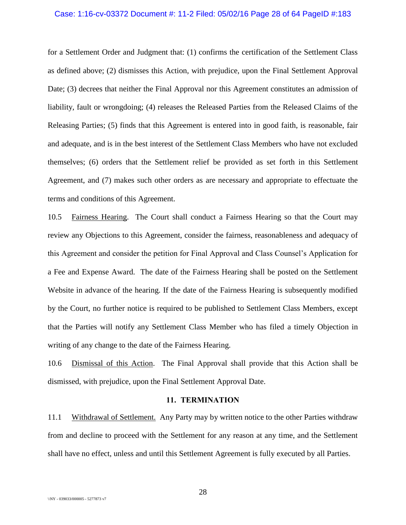#### Case: 1:16-cv-03372 Document #: 11-2 Filed: 05/02/16 Page 28 of 64 PageID #:183

for a Settlement Order and Judgment that: (1) confirms the certification of the Settlement Class as defined above; (2) dismisses this Action, with prejudice, upon the Final Settlement Approval Date; (3) decrees that neither the Final Approval nor this Agreement constitutes an admission of liability, fault or wrongdoing; (4) releases the Released Parties from the Released Claims of the Releasing Parties; (5) finds that this Agreement is entered into in good faith, is reasonable, fair and adequate, and is in the best interest of the Settlement Class Members who have not excluded themselves; (6) orders that the Settlement relief be provided as set forth in this Settlement Agreement, and (7) makes such other orders as are necessary and appropriate to effectuate the terms and conditions of this Agreement.

10.5 Fairness Hearing. The Court shall conduct a Fairness Hearing so that the Court may review any Objections to this Agreement, consider the fairness, reasonableness and adequacy of this Agreement and consider the petition for Final Approval and Class Counsel's Application for a Fee and Expense Award. The date of the Fairness Hearing shall be posted on the Settlement Website in advance of the hearing. If the date of the Fairness Hearing is subsequently modified by the Court, no further notice is required to be published to Settlement Class Members, except that the Parties will notify any Settlement Class Member who has filed a timely Objection in writing of any change to the date of the Fairness Hearing.

10.6 Dismissal of this Action. The Final Approval shall provide that this Action shall be dismissed, with prejudice, upon the Final Settlement Approval Date.

## **11. TERMINATION**

11.1 Withdrawal of Settlement. Any Party may by written notice to the other Parties withdraw from and decline to proceed with the Settlement for any reason at any time, and the Settlement shall have no effect, unless and until this Settlement Agreement is fully executed by all Parties.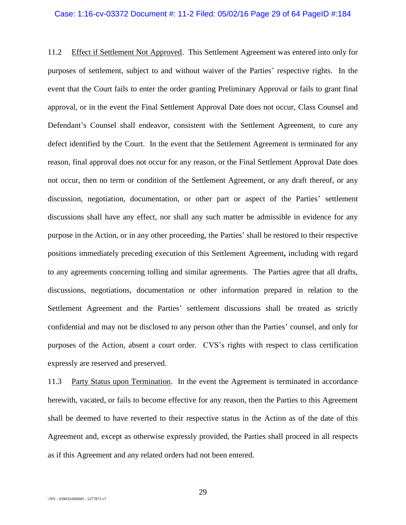# Case: 1:16-cv-03372 Document #: 11-2 Filed: 05/02/16 Page 29 of 64 PageID #:184

11.2 Effect if Settlement Not Approved. This Settlement Agreement was entered into only for purposes of settlement, subject to and without waiver of the Parties' respective rights. In the event that the Court fails to enter the order granting Preliminary Approval or fails to grant final approval, or in the event the Final Settlement Approval Date does not occur, Class Counsel and Defendant's Counsel shall endeavor, consistent with the Settlement Agreement, to cure any defect identified by the Court. In the event that the Settlement Agreement is terminated for any reason, final approval does not occur for any reason, or the Final Settlement Approval Date does not occur, then no term or condition of the Settlement Agreement, or any draft thereof, or any discussion, negotiation, documentation, or other part or aspect of the Parties' settlement discussions shall have any effect, nor shall any such matter be admissible in evidence for any purpose in the Action, or in any other proceeding, the Parties' shall be restored to their respective positions immediately preceding execution of this Settlement Agreement**,** including with regard to any agreements concerning tolling and similar agreements. The Parties agree that all drafts, discussions, negotiations, documentation or other information prepared in relation to the Settlement Agreement and the Parties' settlement discussions shall be treated as strictly confidential and may not be disclosed to any person other than the Parties' counsel, and only for purposes of the Action, absent a court order. CVS's rights with respect to class certification expressly are reserved and preserved.

11.3 Party Status upon Termination. In the event the Agreement is terminated in accordance herewith, vacated, or fails to become effective for any reason, then the Parties to this Agreement shall be deemed to have reverted to their respective status in the Action as of the date of this Agreement and, except as otherwise expressly provided, the Parties shall proceed in all respects as if this Agreement and any related orders had not been entered.

29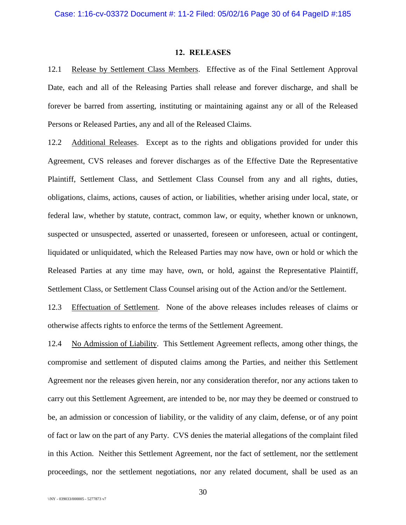## **12. RELEASES**

12.1 Release by Settlement Class Members. Effective as of the Final Settlement Approval Date, each and all of the Releasing Parties shall release and forever discharge, and shall be forever be barred from asserting, instituting or maintaining against any or all of the Released Persons or Released Parties, any and all of the Released Claims.

12.2 Additional Releases. Except as to the rights and obligations provided for under this Agreement, CVS releases and forever discharges as of the Effective Date the Representative Plaintiff, Settlement Class, and Settlement Class Counsel from any and all rights, duties, obligations, claims, actions, causes of action, or liabilities, whether arising under local, state, or federal law, whether by statute, contract, common law, or equity, whether known or unknown, suspected or unsuspected, asserted or unasserted, foreseen or unforeseen, actual or contingent, liquidated or unliquidated, which the Released Parties may now have, own or hold or which the Released Parties at any time may have, own, or hold, against the Representative Plaintiff, Settlement Class, or Settlement Class Counsel arising out of the Action and/or the Settlement.

12.3 Effectuation of Settlement. None of the above releases includes releases of claims or otherwise affects rights to enforce the terms of the Settlement Agreement.

12.4 No Admission of Liability. This Settlement Agreement reflects, among other things, the compromise and settlement of disputed claims among the Parties, and neither this Settlement Agreement nor the releases given herein, nor any consideration therefor, nor any actions taken to carry out this Settlement Agreement, are intended to be, nor may they be deemed or construed to be, an admission or concession of liability, or the validity of any claim, defense, or of any point of fact or law on the part of any Party. CVS denies the material allegations of the complaint filed in this Action. Neither this Settlement Agreement, nor the fact of settlement, nor the settlement proceedings, nor the settlement negotiations, nor any related document, shall be used as an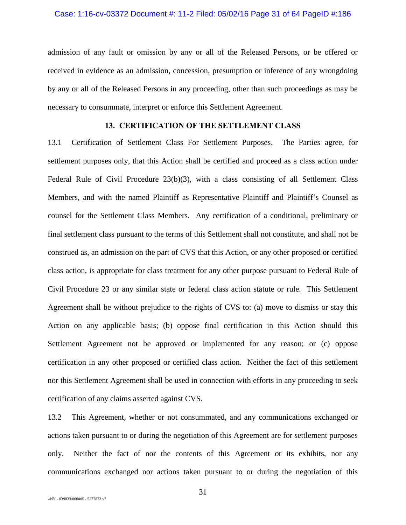## Case: 1:16-cv-03372 Document #: 11-2 Filed: 05/02/16 Page 31 of 64 PageID #:186

admission of any fault or omission by any or all of the Released Persons, or be offered or received in evidence as an admission, concession, presumption or inference of any wrongdoing by any or all of the Released Persons in any proceeding, other than such proceedings as may be necessary to consummate, interpret or enforce this Settlement Agreement.

# **13. CERTIFICATION OF THE SETTLEMENT CLASS**

13.1 Certification of Settlement Class For Settlement Purposes. The Parties agree, for settlement purposes only, that this Action shall be certified and proceed as a class action under Federal Rule of Civil Procedure 23(b)(3), with a class consisting of all Settlement Class Members, and with the named Plaintiff as Representative Plaintiff and Plaintiff's Counsel as counsel for the Settlement Class Members. Any certification of a conditional, preliminary or final settlement class pursuant to the terms of this Settlement shall not constitute, and shall not be construed as, an admission on the part of CVS that this Action, or any other proposed or certified class action, is appropriate for class treatment for any other purpose pursuant to Federal Rule of Civil Procedure 23 or any similar state or federal class action statute or rule. This Settlement Agreement shall be without prejudice to the rights of CVS to: (a) move to dismiss or stay this Action on any applicable basis; (b) oppose final certification in this Action should this Settlement Agreement not be approved or implemented for any reason; or (c) oppose certification in any other proposed or certified class action. Neither the fact of this settlement nor this Settlement Agreement shall be used in connection with efforts in any proceeding to seek certification of any claims asserted against CVS.

13.2 This Agreement, whether or not consummated, and any communications exchanged or actions taken pursuant to or during the negotiation of this Agreement are for settlement purposes only. Neither the fact of nor the contents of this Agreement or its exhibits, nor any communications exchanged nor actions taken pursuant to or during the negotiation of this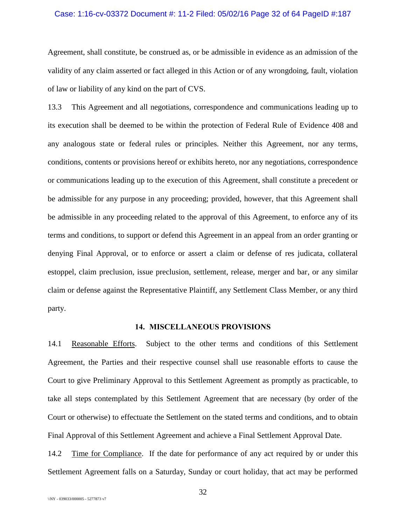#### Case: 1:16-cv-03372 Document #: 11-2 Filed: 05/02/16 Page 32 of 64 PageID #:187

Agreement, shall constitute, be construed as, or be admissible in evidence as an admission of the validity of any claim asserted or fact alleged in this Action or of any wrongdoing, fault, violation of law or liability of any kind on the part of CVS.

13.3 This Agreement and all negotiations, correspondence and communications leading up to its execution shall be deemed to be within the protection of Federal Rule of Evidence 408 and any analogous state or federal rules or principles. Neither this Agreement, nor any terms, conditions, contents or provisions hereof or exhibits hereto, nor any negotiations, correspondence or communications leading up to the execution of this Agreement, shall constitute a precedent or be admissible for any purpose in any proceeding; provided, however, that this Agreement shall be admissible in any proceeding related to the approval of this Agreement, to enforce any of its terms and conditions, to support or defend this Agreement in an appeal from an order granting or denying Final Approval, or to enforce or assert a claim or defense of res judicata, collateral estoppel, claim preclusion, issue preclusion, settlement, release, merger and bar, or any similar claim or defense against the Representative Plaintiff, any Settlement Class Member, or any third party.

## **14. MISCELLANEOUS PROVISIONS**

14.1 Reasonable Efforts. Subject to the other terms and conditions of this Settlement Agreement, the Parties and their respective counsel shall use reasonable efforts to cause the Court to give Preliminary Approval to this Settlement Agreement as promptly as practicable, to take all steps contemplated by this Settlement Agreement that are necessary (by order of the Court or otherwise) to effectuate the Settlement on the stated terms and conditions, and to obtain Final Approval of this Settlement Agreement and achieve a Final Settlement Approval Date.

14.2 Time for Compliance. If the date for performance of any act required by or under this Settlement Agreement falls on a Saturday, Sunday or court holiday, that act may be performed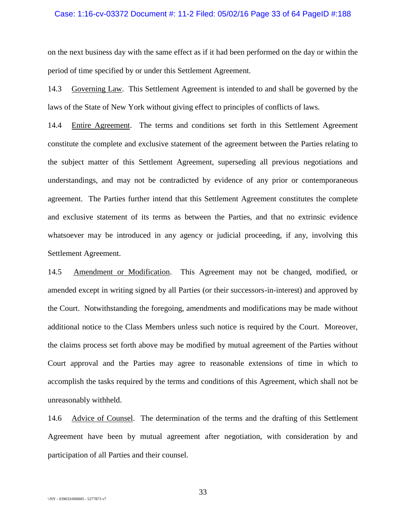#### Case: 1:16-cv-03372 Document #: 11-2 Filed: 05/02/16 Page 33 of 64 PageID #:188

on the next business day with the same effect as if it had been performed on the day or within the period of time specified by or under this Settlement Agreement.

14.3 Governing Law. This Settlement Agreement is intended to and shall be governed by the laws of the State of New York without giving effect to principles of conflicts of laws.

14.4 Entire Agreement. The terms and conditions set forth in this Settlement Agreement constitute the complete and exclusive statement of the agreement between the Parties relating to the subject matter of this Settlement Agreement, superseding all previous negotiations and understandings, and may not be contradicted by evidence of any prior or contemporaneous agreement. The Parties further intend that this Settlement Agreement constitutes the complete and exclusive statement of its terms as between the Parties, and that no extrinsic evidence whatsoever may be introduced in any agency or judicial proceeding, if any, involving this Settlement Agreement.

14.5 Amendment or Modification. This Agreement may not be changed, modified, or amended except in writing signed by all Parties (or their successors-in-interest) and approved by the Court. Notwithstanding the foregoing, amendments and modifications may be made without additional notice to the Class Members unless such notice is required by the Court. Moreover, the claims process set forth above may be modified by mutual agreement of the Parties without Court approval and the Parties may agree to reasonable extensions of time in which to accomplish the tasks required by the terms and conditions of this Agreement, which shall not be unreasonably withheld.

14.6 Advice of Counsel. The determination of the terms and the drafting of this Settlement Agreement have been by mutual agreement after negotiation, with consideration by and participation of all Parties and their counsel.

33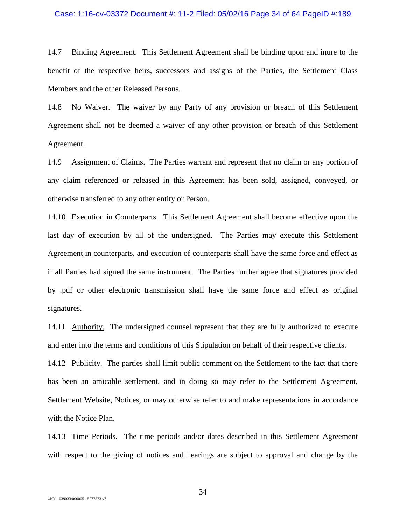#### Case: 1:16-cv-03372 Document #: 11-2 Filed: 05/02/16 Page 34 of 64 PageID #:189

14.7 Binding Agreement. This Settlement Agreement shall be binding upon and inure to the benefit of the respective heirs, successors and assigns of the Parties, the Settlement Class Members and the other Released Persons.

14.8 No Waiver. The waiver by any Party of any provision or breach of this Settlement Agreement shall not be deemed a waiver of any other provision or breach of this Settlement Agreement.

14.9 Assignment of Claims. The Parties warrant and represent that no claim or any portion of any claim referenced or released in this Agreement has been sold, assigned, conveyed, or otherwise transferred to any other entity or Person.

14.10 Execution in Counterparts. This Settlement Agreement shall become effective upon the last day of execution by all of the undersigned. The Parties may execute this Settlement Agreement in counterparts, and execution of counterparts shall have the same force and effect as if all Parties had signed the same instrument. The Parties further agree that signatures provided by .pdf or other electronic transmission shall have the same force and effect as original signatures.

14.11 Authority. The undersigned counsel represent that they are fully authorized to execute and enter into the terms and conditions of this Stipulation on behalf of their respective clients.

14.12 Publicity. The parties shall limit public comment on the Settlement to the fact that there has been an amicable settlement, and in doing so may refer to the Settlement Agreement, Settlement Website, Notices, or may otherwise refer to and make representations in accordance with the Notice Plan.

14.13 Time Periods. The time periods and/or dates described in this Settlement Agreement with respect to the giving of notices and hearings are subject to approval and change by the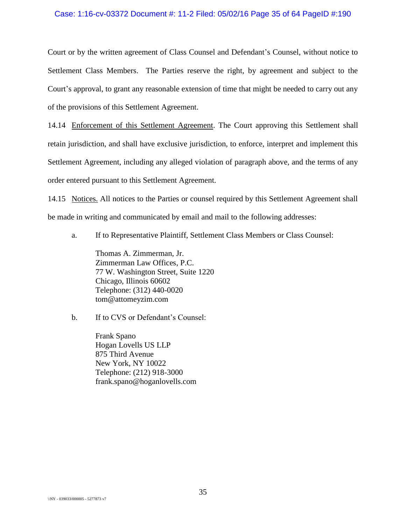## Case: 1:16-cv-03372 Document #: 11-2 Filed: 05/02/16 Page 35 of 64 PageID #:190

Court or by the written agreement of Class Counsel and Defendant's Counsel, without notice to Settlement Class Members. The Parties reserve the right, by agreement and subject to the Court's approval, to grant any reasonable extension of time that might be needed to carry out any of the provisions of this Settlement Agreement.

14.14 Enforcement of this Settlement Agreement. The Court approving this Settlement shall retain jurisdiction, and shall have exclusive jurisdiction, to enforce, interpret and implement this Settlement Agreement, including any alleged violation of paragraph above, and the terms of any order entered pursuant to this Settlement Agreement.

14.15 Notices. All notices to the Parties or counsel required by this Settlement Agreement shall be made in writing and communicated by email and mail to the following addresses:

a. If to Representative Plaintiff, Settlement Class Members or Class Counsel:

Thomas A. Zimmerman, Jr. Zimmerman Law Offices, P.C. 77 W. Washington Street, Suite 1220 Chicago, Illinois 60602 Telephone: (312) 440-0020 tom@attomeyzim.com

b. If to CVS or Defendant's Counsel:

Frank Spano Hogan Lovells US LLP 875 Third Avenue New York, NY 10022 Telephone: (212) 918-3000 frank.spano@hoganlovells.com